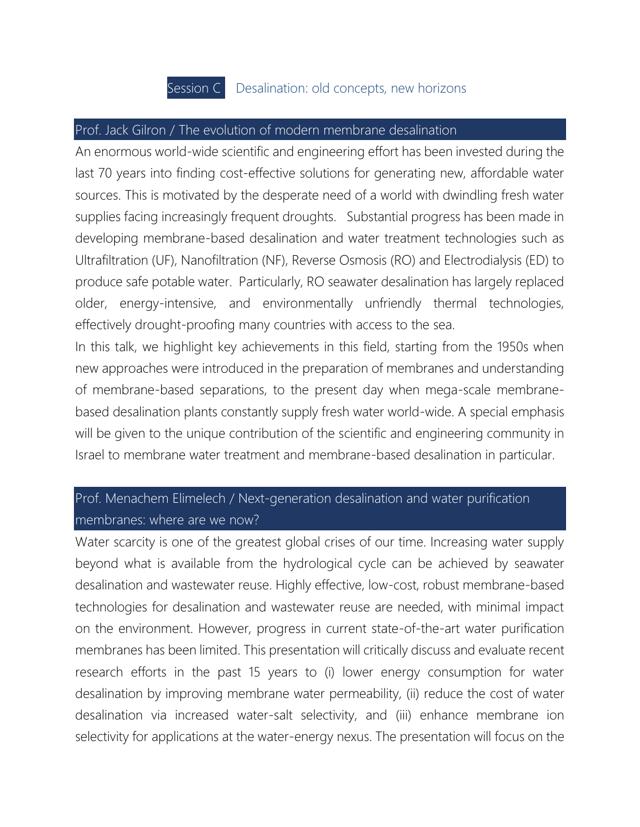# Session C Desalination: old concepts, new horizons

#### Prof. Jack Gilron / The evolution of modern membrane desalination

An enormous world-wide scientific and engineering effort has been invested during the last 70 years into finding cost-effective solutions for generating new, affordable water sources. This is motivated by the desperate need of a world with dwindling fresh water supplies facing increasingly frequent droughts. Substantial progress has been made in developing membrane-based desalination and water treatment technologies such as Ultrafiltration (UF), Nanofiltration (NF), Reverse Osmosis (RO) and Electrodialysis (ED) to produce safe potable water. Particularly, RO seawater desalination has largely replaced older, energy-intensive, and environmentally unfriendly thermal technologies, effectively drought-proofing many countries with access to the sea.

In this talk, we highlight key achievements in this field, starting from the 1950s when new approaches were introduced in the preparation of membranes and understanding of membrane-based separations, to the present day when mega-scale membranebased desalination plants constantly supply fresh water world-wide. A special emphasis will be given to the unique contribution of the scientific and engineering community in Israel to membrane water treatment and membrane-based desalination in particular.

## Prof. Menachem Elimelech / Next-generation desalination and water purification membranes: where are we now?

Water scarcity is one of the greatest global crises of our time. Increasing water supply beyond what is available from the hydrological cycle can be achieved by seawater desalination and wastewater reuse. Highly effective, low-cost, robust membrane-based technologies for desalination and wastewater reuse are needed, with minimal impact on the environment. However, progress in current state-of-the-art water purification membranes has been limited. This presentation will critically discuss and evaluate recent research efforts in the past 15 years to (i) lower energy consumption for water desalination by improving membrane water permeability, (ii) reduce the cost of water desalination via increased water-salt selectivity, and (iii) enhance membrane ion selectivity for applications at the water-energy nexus. The presentation will focus on the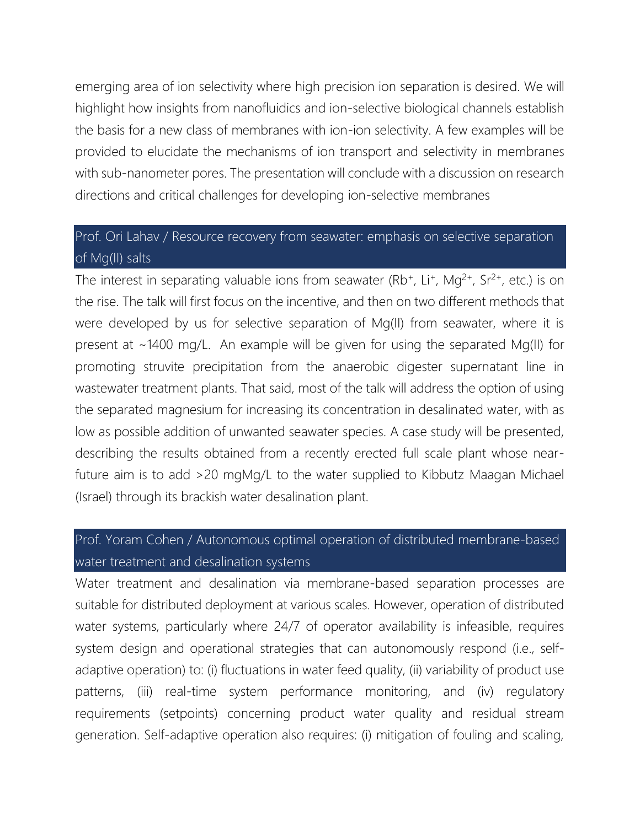emerging area of ion selectivity where high precision ion separation is desired. We will highlight how insights from nanofluidics and ion-selective biological channels establish the basis for a new class of membranes with ion-ion selectivity. A few examples will be provided to elucidate the mechanisms of ion transport and selectivity in membranes with sub-nanometer pores. The presentation will conclude with a discussion on research directions and critical challenges for developing ion-selective membranes

## Prof. Ori Lahav / Resource recovery from seawater: emphasis on selective separation of Mg(II) salts

The interest in separating valuable ions from seawater (Rb<sup>+</sup>, Li<sup>+</sup>, Mg<sup>2+</sup>, Sr<sup>2+</sup>, etc.) is on the rise. The talk will first focus on the incentive, and then on two different methods that were developed by us for selective separation of Mg(II) from seawater, where it is present at ~1400 mg/L. An example will be given for using the separated Mg(II) for promoting struvite precipitation from the anaerobic digester supernatant line in wastewater treatment plants. That said, most of the talk will address the option of using the separated magnesium for increasing its concentration in desalinated water, with as low as possible addition of unwanted seawater species. A case study will be presented, describing the results obtained from a recently erected full scale plant whose nearfuture aim is to add >20 mgMg/L to the water supplied to Kibbutz Maagan Michael (Israel) through its brackish water desalination plant.

#### Prof. Yoram Cohen / Autonomous optimal operation of distributed membrane-based water treatment and desalination systems

Water treatment and desalination via membrane-based separation processes are suitable for distributed deployment at various scales. However, operation of distributed water systems, particularly where 24/7 of operator availability is infeasible, requires system design and operational strategies that can autonomously respond (i.e., selfadaptive operation) to: (i) fluctuations in water feed quality, (ii) variability of product use patterns, (iii) real-time system performance monitoring, and (iv) regulatory requirements (setpoints) concerning product water quality and residual stream generation. Self-adaptive operation also requires: (i) mitigation of fouling and scaling,